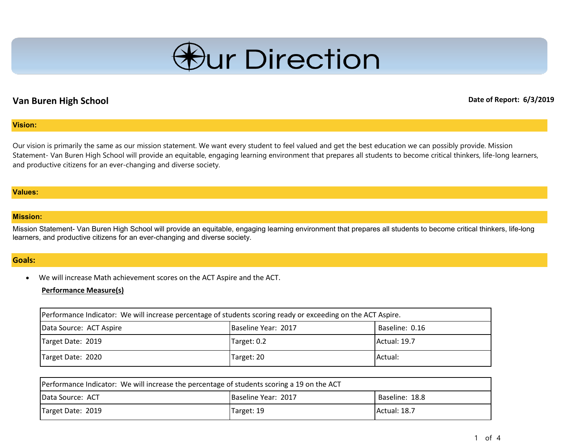

# **Van Buren High School Date of Report: 6/3/2019**

### **Vision:**

Our vision is primarily the same as our mission statement. We want every student to feel valued and get the best education we can possibly provide. Mission Statement- Van Buren High School will provide an equitable, engaging learning environment that prepares all students to become critical thinkers, life-long learners, and productive citizens for an ever-changing and diverse society.

#### **Values:**

#### **Mission:**

Mission Statement- Van Buren High School will provide an equitable, engaging learning environment that prepares all students to become critical thinkers, life-long learners, and productive citizens for an ever-changing and diverse society.

### **Goals:**

• We will increase Math achievement scores on the ACT Aspire and the ACT.

#### **Performance Measure(s)**

| Performance Indicator: We will increase percentage of students scoring ready or exceeding on the ACT Aspire. |                     |                |
|--------------------------------------------------------------------------------------------------------------|---------------------|----------------|
| Data Source: ACT Aspire                                                                                      | Baseline Year: 2017 | Baseline: 0.16 |
| Target Date: 2019                                                                                            | Target: 0.2         | Actual: 19.7   |
| Target Date: 2020                                                                                            | Target: 20          | Actual:        |

| Performance Indicator: We will increase the percentage of students scoring a 19 on the ACT |                            |                |
|--------------------------------------------------------------------------------------------|----------------------------|----------------|
| <b>IData Source: ACT</b>                                                                   | <b>Baseline Year: 2017</b> | Baseline: 18.8 |
| Target Date: 2019                                                                          | Target: 19                 | Actual: 18.7   |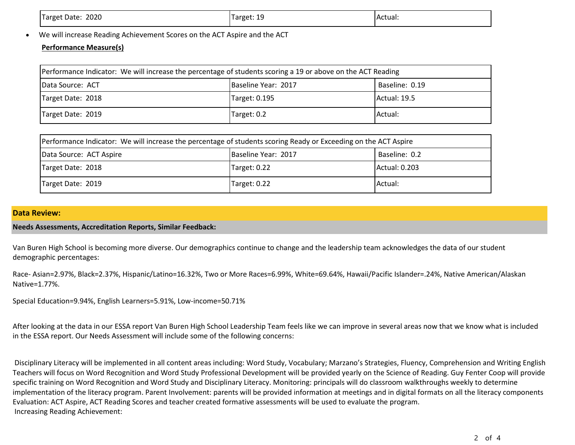| 2020<br>Target Date: | Target: 19 | TActual: |
|----------------------|------------|----------|
|                      |            |          |

• We will increase Reading Achievement Scores on the ACT Aspire and the ACT

### **Performance Measure(s)**

| Performance Indicator: We will increase the percentage of students scoring a 19 or above on the ACT Reading |                     |                |
|-------------------------------------------------------------------------------------------------------------|---------------------|----------------|
| Data Source: ACT                                                                                            | Baseline Year: 2017 | Baseline: 0.19 |
| Target Date: 2018                                                                                           | Target: 0.195       | Actual: 19.5   |
| Target Date: 2019                                                                                           | Target: 0.2         | Actual:        |

| Performance Indicator: We will increase the percentage of students scoring Ready or Exceeding on the ACT Aspire |                     |               |
|-----------------------------------------------------------------------------------------------------------------|---------------------|---------------|
| Data Source: ACT Aspire                                                                                         | Baseline Year: 2017 | Baseline: 0.2 |
| Target Date: 2018                                                                                               | Target: 0.22        | Actual: 0.203 |
| Target Date: 2019                                                                                               | Target: 0.22        | Actual:       |

### **Data Review:**

### **Needs Assessments, Accreditation Reports, Similar Feedback:**

Van Buren High School is becoming more diverse. Our demographics continue to change and the leadership team acknowledges the data of our student demographic percentages:

Race- Asian=2.97%, Black=2.37%, Hispanic/Latino=16.32%, Two or More Races=6.99%, White=69.64%, Hawaii/Pacific Islander=.24%, Native American/Alaskan Native=1.77%.

Special Education=9.94%, English Learners=5.91%, Low-income=50.71%

After looking at the data in our ESSA report Van Buren High School Leadership Team feels like we can improve in several areas now that we know what is included in the ESSA report. Our Needs Assessment will include some of the following concerns:

Disciplinary Literacy will be implemented in all content areas including: Word Study, Vocabulary; Marzano's Strategies, Fluency, Comprehension and Writing English Teachers will focus on Word Recognition and Word Study Professional Development will be provided yearly on the Science of Reading. Guy Fenter Coop will provide specific training on Word Recognition and Word Study and Disciplinary Literacy. Monitoring: principals will do classroom walkthroughs weekly to determine implementation of the literacy program. Parent Involvement: parents will be provided information at meetings and in digital formats on all the literacy components Evaluation: ACT Aspire, ACT Reading Scores and teacher created formative assessments will be used to evaluate the program. Increasing Reading Achievement: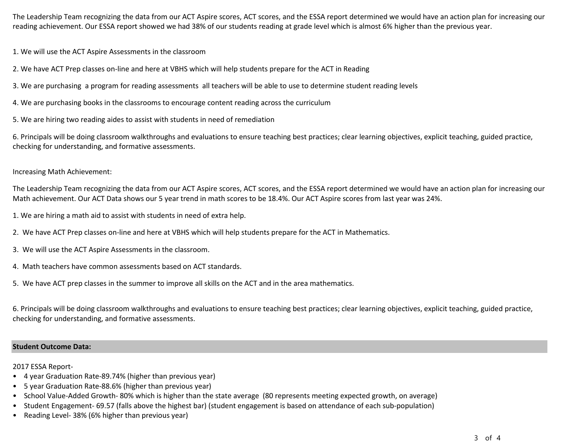The Leadership Team recognizing the data from our ACT Aspire scores, ACT scores, and the ESSA report determined we would have an action plan for increasing our reading achievement. Our ESSA report showed we had 38% of our students reading at grade level which is almost 6% higher than the previous year.

1. We will use the ACT Aspire Assessments in the classroom

2. We have ACT Prep classes on-line and here at VBHS which will help students prepare for the ACT in Reading

3. We are purchasing a program for reading assessments all teachers will be able to use to determine student reading levels

4. We are purchasing books in the classrooms to encourage content reading across the curriculum

5. We are hiring two reading aides to assist with students in need of remediation

6. Principals will be doing classroom walkthroughs and evaluations to ensure teaching best practices; clear learning objectives, explicit teaching, guided practice, checking for understanding, and formative assessments.

Increasing Math Achievement:

The Leadership Team recognizing the data from our ACT Aspire scores, ACT scores, and the ESSA report determined we would have an action plan for increasing our Math achievement. Our ACT Data shows our 5 year trend in math scores to be 18.4%. Our ACT Aspire scores from last year was 24%.

1. We are hiring a math aid to assist with students in need of extra help.

- 2. We have ACT Prep classes on-line and here at VBHS which will help students prepare for the ACT in Mathematics.
- 3. We will use the ACT Aspire Assessments in the classroom.
- 4. Math teachers have common assessments based on ACT standards.
- 5. We have ACT prep classes in the summer to improve all skills on the ACT and in the area mathematics.

6. Principals will be doing classroom walkthroughs and evaluations to ensure teaching best practices; clear learning objectives, explicit teaching, guided practice, checking for understanding, and formative assessments.

#### **Student Outcome Data:**

2017 ESSA Report-

- 4 year Graduation Rate-89.74% (higher than previous year)
- 5 year Graduation Rate-88.6% (higher than previous year)
- School Value-Added Growth- 80% which is higher than the state average (80 represents meeting expected growth, on average)
- Student Engagement- 69.57 (falls above the highest bar) (student engagement is based on attendance of each sub-population)
- Reading Level- 38% (6% higher than previous year)